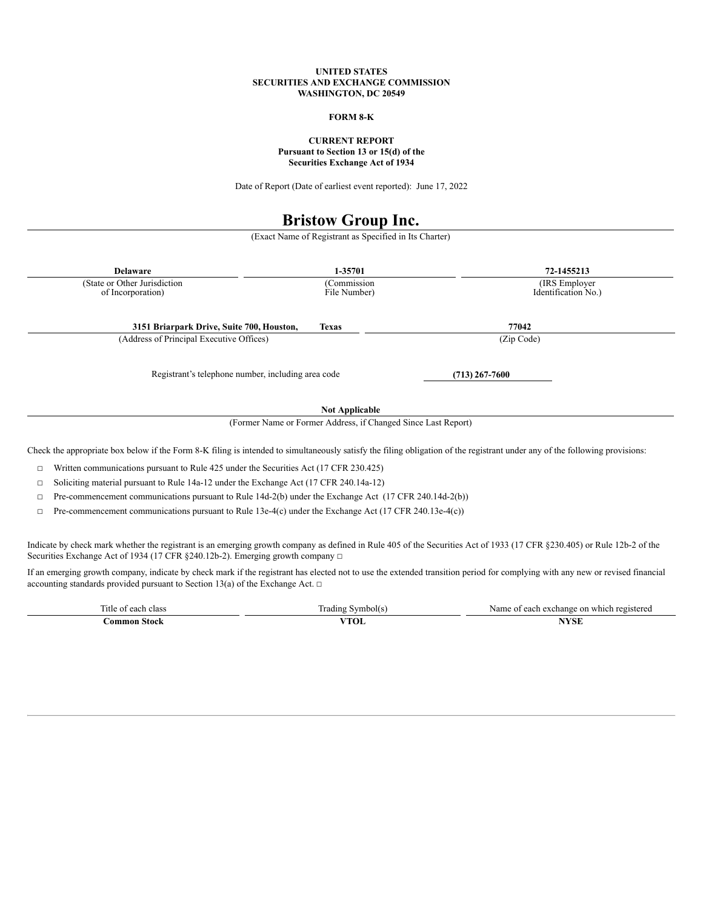#### **UNITED STATES SECURITIES AND EXCHANGE COMMISSION WASHINGTON, DC 20549**

# **FORM 8-K**

## **CURRENT REPORT Pursuant to Section 13 or 15(d) of the Securities Exchange Act of 1934**

Date of Report (Date of earliest event reported): June 17, 2022

# **Bristow Group Inc.**

(Exact Name of Registrant as Specified in Its Charter)

| <b>Delaware</b>                                                                                                                                                                                                                                                      | 1-35701                                                       | 72-1455213                                |
|----------------------------------------------------------------------------------------------------------------------------------------------------------------------------------------------------------------------------------------------------------------------|---------------------------------------------------------------|-------------------------------------------|
| (State or Other Jurisdiction<br>of Incorporation)                                                                                                                                                                                                                    | (Commission<br>File Number)                                   | (IRS Employer)<br>Identification No.)     |
| 3151 Briarpark Drive, Suite 700, Houston,                                                                                                                                                                                                                            | <b>Texas</b>                                                  | 77042                                     |
| (Address of Principal Executive Offices)                                                                                                                                                                                                                             |                                                               | (Zip Code)                                |
| Registrant's telephone number, including area code                                                                                                                                                                                                                   |                                                               | $(713)$ 267-7600                          |
| <b>Not Applicable</b>                                                                                                                                                                                                                                                |                                                               |                                           |
|                                                                                                                                                                                                                                                                      | (Former Name or Former Address, if Changed Since Last Report) |                                           |
| Check the appropriate box below if the Form 8-K filing is intended to simultaneously satisfy the filing obligation of the registrant under any of the following provisions:                                                                                          |                                                               |                                           |
| Written communications pursuant to Rule 425 under the Securities Act (17 CFR 230.425)<br>□                                                                                                                                                                           |                                                               |                                           |
| Soliciting material pursuant to Rule 14a-12 under the Exchange Act (17 CFR 240.14a-12)<br>□                                                                                                                                                                          |                                                               |                                           |
| Pre-commencement communications pursuant to Rule 14d-2(b) under the Exchange Act (17 CFR 240.14d-2(b))<br>□                                                                                                                                                          |                                                               |                                           |
| Pre-commencement communications pursuant to Rule 13e-4(c) under the Exchange Act (17 CFR 240.13e-4(c))<br>□                                                                                                                                                          |                                                               |                                           |
| Indicate by check mark whether the registrant is an emerging growth company as defined in Rule 405 of the Securities Act of 1933 (17 CFR §230.405) or Rule 12b-2 of the<br>Securities Exchange Act of 1934 (17 CFR $\S$ 240.12b-2). Emerging growth company $\Box$   |                                                               |                                           |
| If an emerging growth company, indicate by check mark if the registrant has elected not to use the extended transition period for complying with any new or revised financial<br>accounting standards provided pursuant to Section 13(a) of the Exchange Act. $\Box$ |                                                               |                                           |
| Title of each class                                                                                                                                                                                                                                                  | Trading Symbol(s)                                             | Name of each exchange on which registered |
| <b>Common Stock</b>                                                                                                                                                                                                                                                  | <b>VTOL</b>                                                   | <b>NYSE</b>                               |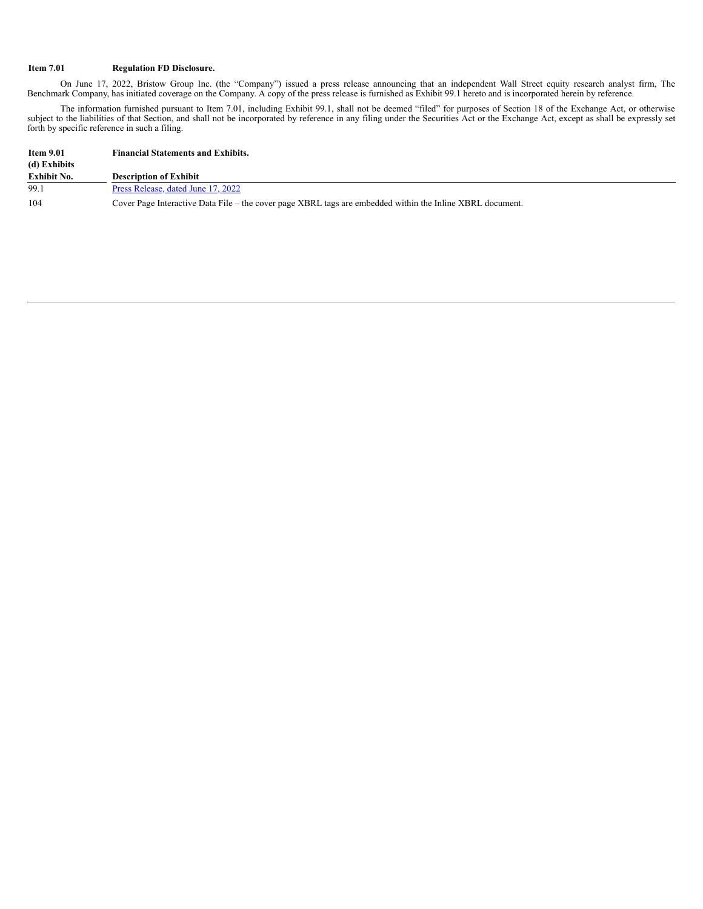## **Item 7.01 Regulation FD Disclosure.**

On June 17, 2022, Bristow Group Inc. (the "Company") issued a press release announcing that an independent Wall Street equity research analyst firm, The Benchmark Company, has initiated coverage on the Company. A copy of the press release is furnished as Exhibit 99.1 hereto and is incorporated herein by reference.

The information furnished pursuant to Item 7.01, including Exhibit 99.1, shall not be deemed "filed" for purposes of Section 18 of the Exchange Act, or otherwise subject to the liabilities of that Section, and shall not be incorporated by reference in any filing under the Securities Act or the Exchange Act, except as shall be expressly set forth by specific reference in such a filing.

| <b>Item 9.01</b><br>(d) Exhibits | <b>Financial Statements and Exhibits.</b>                                                                 |
|----------------------------------|-----------------------------------------------------------------------------------------------------------|
| Exhibit No.                      | <b>Description of Exhibit</b>                                                                             |
| 99.1                             | Press Release, dated June 17, 2022                                                                        |
| 104                              | Cover Page Interactive Data File – the cover page XBRL tags are embedded within the Inline XBRL document. |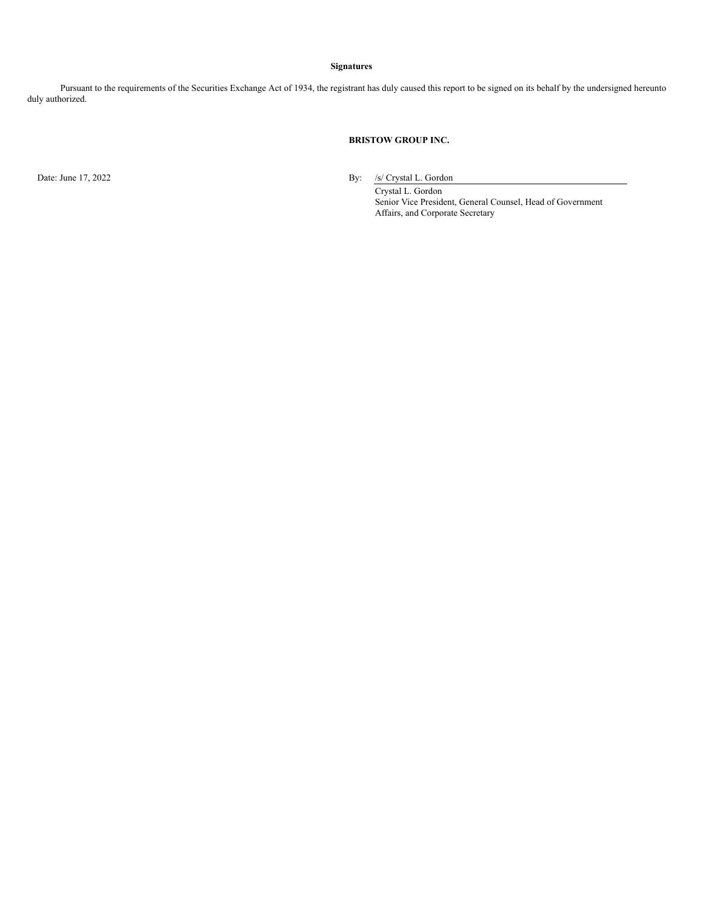#### **Signatures**

Pursuant to the requirements of the Securities Exchange Act of 1934, the registrant has duly caused this report to be signed on its behalf by the undersigned hereunto duly authorized.

## **BRISTOW GROUP INC.**

Date: June 17, 2022 By: /s/ Crystal L. Gordon

Crystal L. Gordon Senior Vice President, General Counsel, Head of Government Affairs, and Corporate Secretary